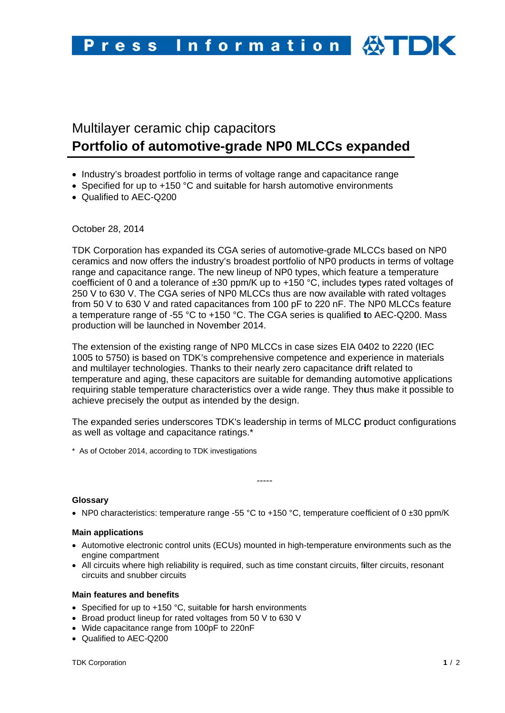# Multilayer ceramic chip capacitors Portfolio of automotive-grade NP0 MLCCs expanded

- Industry's broadest portfolio in terms of voltage range and capacitance range
- Specified for up to +150 °C and suitable for harsh automotive environments
- Qualified to AEC-Q200

October 28, 2014

TDK Corporation has expanded its CGA series of automotive-grade MLCCs based on NP0 ceramics and now offers the industry's broadest portfolio of NP0 products in terms of voltage range and capacitance range. The new lineup of NP0 types, which feature a temperature coefficient of 0 and a tolerance of  $\pm 30$  ppm/K up to  $+150$  °C, includes types rated voltages of 250 V to 630 V. The CGA series of NP0 MLCCs thus are now available with rated voltages from 50 V to 630 V and rated capacitances from 100 pF to 220 nF. The NP0 MLCCs feature a temperature range of -55 °C to +150 °C. The CGA series is qualified to AEC-Q200. Mass production will be launched in November 2014.

The extension of the existing range of NP0 MLCCs in case sizes EIA 0402 to 2220 (IEC 1005 to 5750) is based on TDK's comprehensive competence and experience in materials and multilaver technologies. Thanks to their nearly zero capacitance drift related to temperature and aging, these capacitors are suitable for demanding automotive applications requiring stable temperature characteristics over a wide range. They thus make it possible to achieve precisely the output as intended by the design.

The expanded series underscores TDK's leadership in terms of MLCC product configurations as well as voltage and capacitance ratings.\*

\* As of October 2014, according to TDK investigations

#### Glossary

• NP0 characteristics: temperature range -55 °C to +150 °C, temperature coefficient of 0  $\pm 30$  ppm/K

-----

# **Main applications**

- Automotive electronic control units (ECUs) mounted in high-temperature environments such as the engine compartment
- All circuits where high reliability is required, such as time constant circuits, filter circuits, resonant circuits and snubber circuits

# **Main features and benefits**

- Specified for up to +150 °C, suitable for harsh environments
- Broad product lineup for rated voltages from 50 V to 630 V
- Wide capacitance range from 100pF to 220nF
- Qualified to AEC-Q200